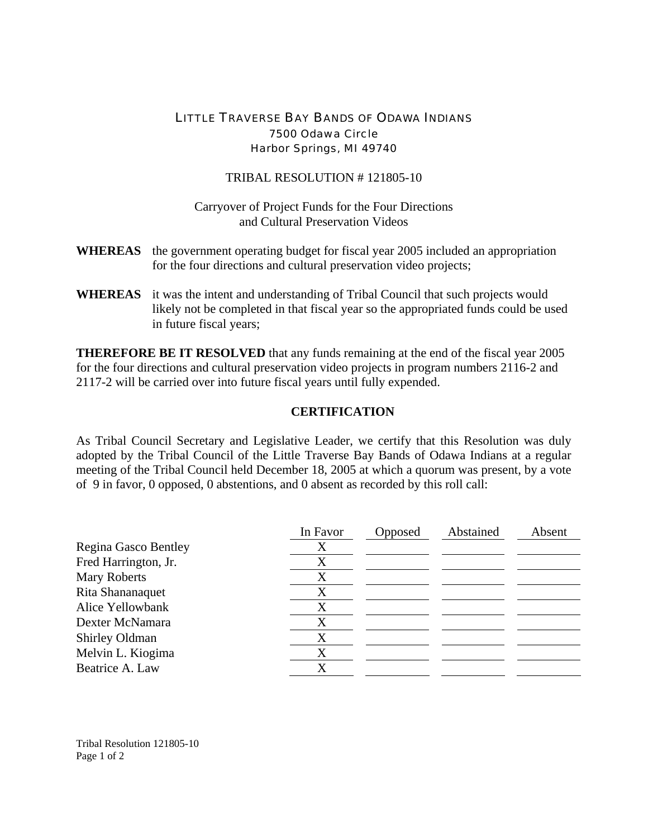## LITTLE TRAVERSE BAY BANDS OF ODAWA INDIANS 7500 Odawa Circle Harbor Springs, MI 49740

## TRIBAL RESOLUTION # 121805-10

Carryover of Project Funds for the Four Directions and Cultural Preservation Videos

- **WHEREAS** the government operating budget for fiscal year 2005 included an appropriation for the four directions and cultural preservation video projects;
- **WHEREAS** it was the intent and understanding of Tribal Council that such projects would likely not be completed in that fiscal year so the appropriated funds could be used in future fiscal years;

**THEREFORE BE IT RESOLVED** that any funds remaining at the end of the fiscal year 2005 for the four directions and cultural preservation video projects in program numbers 2116-2 and 2117-2 will be carried over into future fiscal years until fully expended.

## **CERTIFICATION**

As Tribal Council Secretary and Legislative Leader, we certify that this Resolution was duly adopted by the Tribal Council of the Little Traverse Bay Bands of Odawa Indians at a regular meeting of the Tribal Council held December 18, 2005 at which a quorum was present, by a vote of 9 in favor, 0 opposed, 0 abstentions, and 0 absent as recorded by this roll call:

|                      | In Favor | Opposed | Abstained | Absent |
|----------------------|----------|---------|-----------|--------|
| Regina Gasco Bentley | X        |         |           |        |
| Fred Harrington, Jr. | X        |         |           |        |
| <b>Mary Roberts</b>  | X        |         |           |        |
| Rita Shananaquet     |          |         |           |        |
| Alice Yellowbank     | X        |         |           |        |
| Dexter McNamara      | X        |         |           |        |
| Shirley Oldman       | X        |         |           |        |
| Melvin L. Kiogima    | X        |         |           |        |
| Beatrice A. Law      | X        |         |           |        |

Tribal Resolution 121805-10 Page 1 of 2